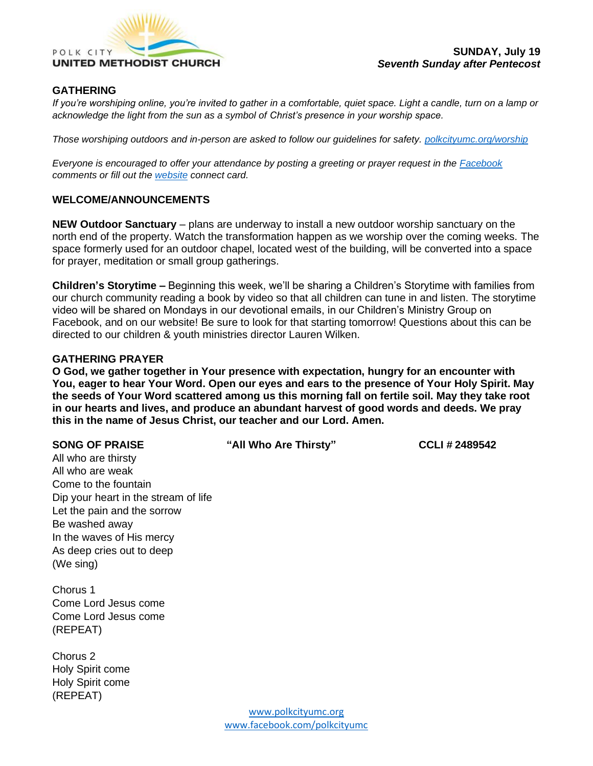

# **GATHERING**

*If you're worshiping online, you're invited to gather in a comfortable, quiet space. Light a candle, turn on a lamp or acknowledge the light from the sun as a symbol of Christ's presence in your worship space.* 

*Those worshiping outdoors and in-person are asked to follow our guidelines for safety. [polkcityumc.org/worship](https://d.docs.live.net/cd166157eeddedc6/Polk%20City%20UMC/Worship/polkcityumc.org/worship)*

*Everyone is encouraged to offer your attendance by posting a greeting or prayer request in the [Facebook](https://www.facebook.com/polkcityumc/) comments or fill out the [website](https://www.polkcityumc.org/online-worship) connect card.*

### **WELCOME/ANNOUNCEMENTS**

**NEW Outdoor Sanctuary** – plans are underway to install a new outdoor worship sanctuary on the north end of the property. Watch the transformation happen as we worship over the coming weeks. The space formerly used for an outdoor chapel, located west of the building, will be converted into a space for prayer, meditation or small group gatherings.

**Children's Storytime –** Beginning this week, we'll be sharing a Children's Storytime with families from our church community reading a book by video so that all children can tune in and listen. The storytime video will be shared on Mondays in our devotional emails, in our Children's Ministry Group on Facebook, and on our website! Be sure to look for that starting tomorrow! Questions about this can be directed to our children & youth ministries director Lauren Wilken.

### **GATHERING PRAYER**

**O God, we gather together in Your presence with expectation, hungry for an encounter with You, eager to hear Your Word. Open our eyes and ears to the presence of Your Holy Spirit. May the seeds of Your Word scattered among us this morning fall on fertile soil. May they take root in our hearts and lives, and produce an abundant harvest of good words and deeds. We pray this in the name of Jesus Christ, our teacher and our Lord. Amen.**

**SONG OF PRAISE "All Who Are Thirsty" CCLI # 2489542**

All who are thirsty All who are weak Come to the fountain Dip your heart in the stream of life Let the pain and the sorrow Be washed away In the waves of His mercy As deep cries out to deep (We sing)

Chorus 1 Come Lord Jesus come Come Lord Jesus come (REPEAT)

Chorus 2 Holy Spirit come Holy Spirit come (REPEAT)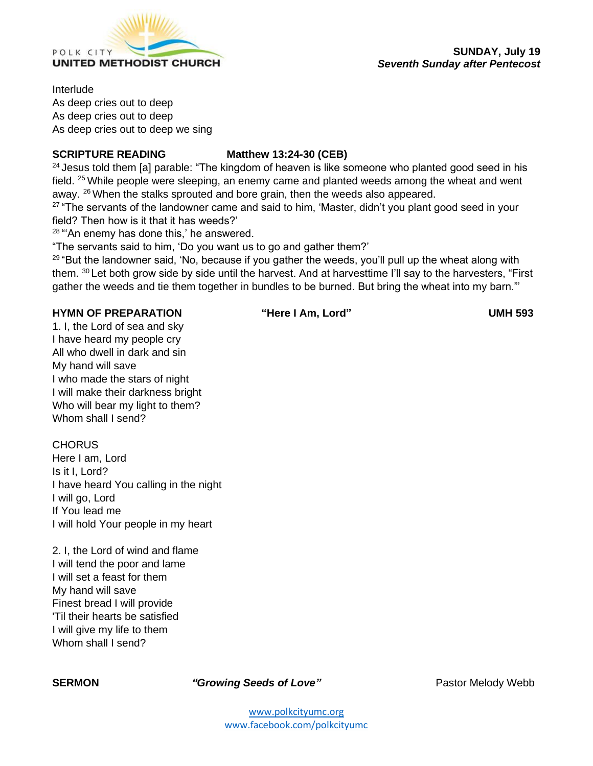

Interlude

As deep cries out to deep As deep cries out to deep As deep cries out to deep we sing

# **SCRIPTURE READING Matthew 13:24-30 (CEB)**

 $24$  Jesus told them [a] parable: "The kingdom of heaven is like someone who planted good seed in his field. <sup>25</sup> While people were sleeping, an enemy came and planted weeds among the wheat and went away. <sup>26</sup> When the stalks sprouted and bore grain, then the weeds also appeared.

<sup>27</sup> "The servants of the landowner came and said to him, 'Master, didn't you plant good seed in your field? Then how is it that it has weeds?'

 $28$  "'An enemy has done this,' he answered.

"The servants said to him, 'Do you want us to go and gather them?'

<sup>29</sup> "But the landowner said, 'No, because if you gather the weeds, you'll pull up the wheat along with them. <sup>30</sup> Let both grow side by side until the harvest. And at harvesttime I'll say to the harvesters, "First gather the weeds and tie them together in bundles to be burned. But bring the wheat into my barn."'

## **HYMN OF PREPARATION "Here I Am, Lord" UMH 593**

1. I, the Lord of sea and sky I have heard my people cry All who dwell in dark and sin My hand will save I who made the stars of night I will make their darkness bright Who will bear my light to them? Whom shall I send?

**CHORUS** Here I am, Lord Is it I, Lord? I have heard You calling in the night I will go, Lord If You lead me I will hold Your people in my heart

2. I, the Lord of wind and flame I will tend the poor and lame I will set a feast for them My hand will save Finest bread I will provide 'Til their hearts be satisfied I will give my life to them Whom shall I send?

**SERMON** *"Growing Seeds of Love"* Pastor Melody Webb